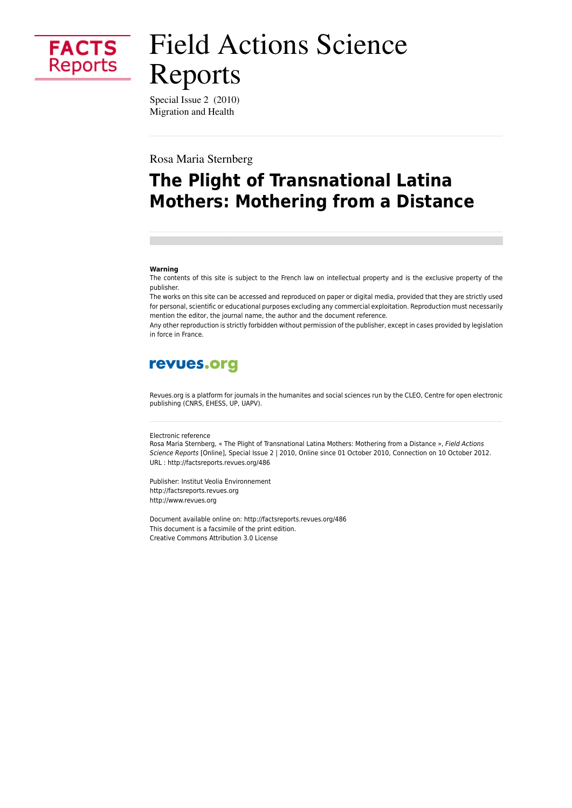

# **Field Actions Science** Reports

Special Issue 2 (2010) Migration and Health

Rosa Maria Sternberg

## The Plight of Transnational Latina **Mothers: Mothering from a Distance**

#### Warning

The contents of this site is subject to the French law on intellectual property and is the exclusive property of the publisher.

The works on this site can be accessed and reproduced on paper or digital media, provided that they are strictly used for personal, scientific or educational purposes excluding any commercial exploitation. Reproduction must necessarily mention the editor, the journal name, the author and the document reference.

Any other reproduction is strictly forbidden without permission of the publisher, except in cases provided by legislation in force in France.

### revues.org

Revues.org is a platform for journals in the humanites and social sciences run by the CLEO, Centre for open electronic publishing (CNRS, EHESS, UP, UAPV).

#### Electronic reference

Rosa Maria Sternberg, « The Plight of Transnational Latina Mothers: Mothering from a Distance », Field Actions Science Reports [Online], Special Issue 2 | 2010, Online since 01 October 2010, Connection on 10 October 2012. URL: http://factsreports.revues.org/486

Publisher: Institut Veolia Environnement http://factsreports.revues.org http://www.revues.org

Document available online on: http://factsreports.revues.org/486 This document is a facsimile of the print edition. Creative Commons Attribution 3.0 License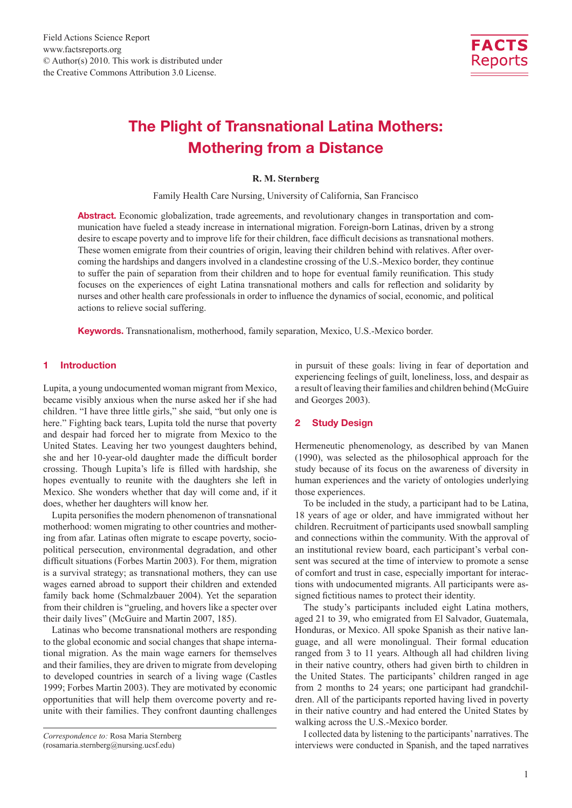

### The Plight of Transnational Latina Mothers: Mothering from a Distance

#### **R. M. Sternberg**

Family Health Care Nursing, University of California, San Francisco

Abstract. Economic globalization, trade agreements, and revolutionary changes in transportation and communication have fueled a steady increase in international migration. Foreign-born Latinas, driven by a strong desire to escape poverty and to improve life for their children, face difficult decisions as transnational mothers. These women emigrate from their countries of origin, leaving their children behind with relatives. After overcoming the hardships and dangers involved in a clandestine crossing of the U.S.-Mexico border, they continue to suffer the pain of separation from their children and to hope for eventual family reunification. This study focuses on the experiences of eight Latina transnational mothers and calls for reflection and solidarity by nurses and other health care professionals in order to influence the dynamics of social, economic, and political actions to relieve social suffering.

Keywords. Transnationalism, motherhood, family separation, Mexico, U.S.-Mexico border.

#### 1 Introduction

Lupita, a young undocumented woman migrant from Mexico, became visibly anxious when the nurse asked her if she had children. "I have three little girls," she said, "but only one is here." Fighting back tears, Lupita told the nurse that poverty and despair had forced her to migrate from Mexico to the United States. Leaving her two youngest daughters behind, she and her 10-year-old daughter made the difficult border crossing. Though Lupita's life is filled with hardship, she hopes eventually to reunite with the daughters she left in Mexico. She wonders whether that day will come and, if it does, whether her daughters will know her.

Lupita personifies the modern phenomenon of transnational motherhood: women migrating to other countries and mothering from afar. Latinas often migrate to escape poverty, sociopolitical persecution, environmental degradation, and other difficult situations (Forbes Martin 2003). For them, migration is a survival strategy; as transnational mothers, they can use wages earned abroad to support their children and extended family back home (Schmalzbauer 2004). Yet the separation from their children is "grueling, and hovers like a specter over their daily lives" (McGuire and Martin 2007, 185).

Latinas who become transnational mothers are responding to the global economic and social changes that shape international migration. As the main wage earners for themselves and their families, they are driven to migrate from developing to developed countries in search of a living wage (Castles 1999; Forbes Martin 2003). They are motivated by economic opportunities that will help them overcome poverty and reunite with their families. They confront daunting challenges in pursuit of these goals: living in fear of deportation and experiencing feelings of guilt, loneliness, loss, and despair as a result of leaving their families and children behind (McGuire and Georges 2003).

#### 2 Study Design

Hermeneutic phenomenology, as described by van Manen (1990), was selected as the philosophical approach for the study because of its focus on the awareness of diversity in human experiences and the variety of ontologies underlying those experiences.

To be included in the study, a participant had to be Latina, 18 years of age or older, and have immigrated without her children. Recruitment of participants used snowball sampling and connections within the community. With the approval of an institutional review board, each participant's verbal consent was secured at the time of interview to promote a sense of comfort and trust in case, especially important for interactions with undocumented migrants. All participants were assigned fictitious names to protect their identity.

The study's participants included eight Latina mothers, aged 21 to 39, who emigrated from El Salvador, Guatemala, Honduras, or Mexico. All spoke Spanish as their native language, and all were monolingual. Their formal education ranged from 3 to 11 years. Although all had children living in their native country, others had given birth to children in the United States. The participants' children ranged in age from 2 months to 24 years; one participant had grandchildren. All of the participants reported having lived in poverty in their native country and had entered the United States by walking across the U.S.-Mexico border.

I collected data by listening to the participants' narratives. The interviews were conducted in Spanish, and the taped narratives

*Correspondence to:* Rosa Maria Sternberg (rosamaria.sternberg@nursing.ucsf.edu)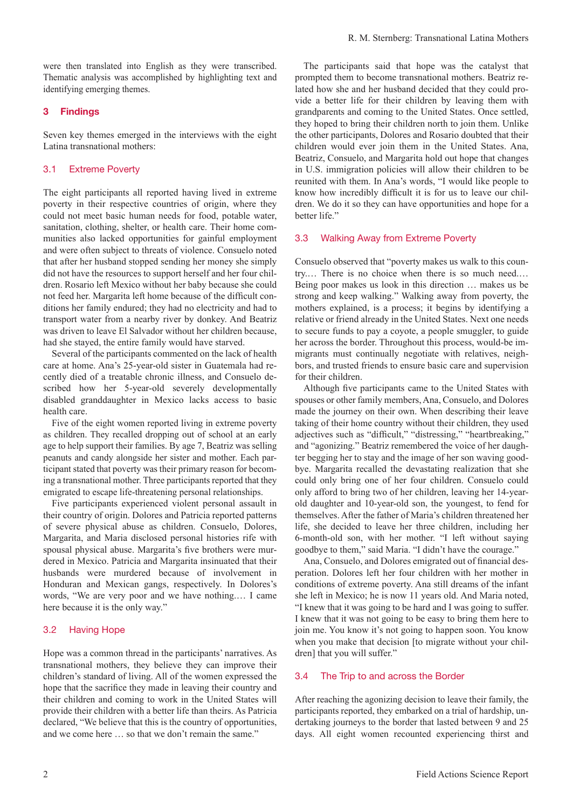were then translated into English as they were transcribed. Thematic analysis was accomplished by highlighting text and identifying emerging themes.

#### 3 Findings

Seven key themes emerged in the interviews with the eight Latina transnational mothers:

#### 3.1 Extreme Poverty

The eight participants all reported having lived in extreme poverty in their respective countries of origin, where they could not meet basic human needs for food, potable water, sanitation, clothing, shelter, or health care. Their home communities also lacked opportunities for gainful employment and were often subject to threats of violence. Consuelo noted that after her husband stopped sending her money she simply did not have the resources to support herself and her four children. Rosario left Mexico without her baby because she could not feed her. Margarita left home because of the difficult conditions her family endured; they had no electricity and had to transport water from a nearby river by donkey. And Beatriz was driven to leave El Salvador without her children because, had she stayed, the entire family would have starved.

Several of the participants commented on the lack of health care at home. Ana's 25-year-old sister in Guatemala had recently died of a treatable chronic illness, and Consuelo described how her 5-year-old severely developmentally disabled granddaughter in Mexico lacks access to basic health care.

Five of the eight women reported living in extreme poverty as children. They recalled dropping out of school at an early age to help support their families. By age 7, Beatriz was selling peanuts and candy alongside her sister and mother. Each participant stated that poverty was their primary reason for becoming a transnational mother. Three participants reported that they emigrated to escape life-threatening personal relationships.

Five participants experienced violent personal assault in their country of origin. Dolores and Patricia reported patterns of severe physical abuse as children. Consuelo, Dolores, Margarita, and Maria disclosed personal histories rife with spousal physical abuse. Margarita's five brothers were murdered in Mexico. Patricia and Margarita insinuated that their husbands were murdered because of involvement in Honduran and Mexican gangs, respectively. In Dolores's words, "We are very poor and we have nothing.… I came here because it is the only way."

#### 3.2 Having Hope

Hope was a common thread in the participants' narratives. As transnational mothers, they believe they can improve their children's standard of living. All of the women expressed the hope that the sacrifice they made in leaving their country and their children and coming to work in the United States will provide their children with a better life than theirs. As Patricia declared, "We believe that this is the country of opportunities, and we come here … so that we don't remain the same."

The participants said that hope was the catalyst that prompted them to become transnational mothers. Beatriz related how she and her husband decided that they could provide a better life for their children by leaving them with grandparents and coming to the United States. Once settled, they hoped to bring their children north to join them. Unlike the other participants, Dolores and Rosario doubted that their children would ever join them in the United States. Ana, Beatriz, Consuelo, and Margarita hold out hope that changes in U.S. immigration policies will allow their children to be reunited with them. In Ana's words, "I would like people to know how incredibly difficult it is for us to leave our children. We do it so they can have opportunities and hope for a better life."

#### 3.3 Walking Away from Extreme Poverty

Consuelo observed that "poverty makes us walk to this country.… There is no choice when there is so much need.… Being poor makes us look in this direction … makes us be strong and keep walking." Walking away from poverty, the mothers explained, is a process; it begins by identifying a relative or friend already in the United States. Next one needs to secure funds to pay a coyote, a people smuggler, to guide her across the border. Throughout this process, would-be immigrants must continually negotiate with relatives, neighbors, and trusted friends to ensure basic care and supervision for their children.

Although five participants came to the United States with spouses or other family members, Ana, Consuelo, and Dolores made the journey on their own. When describing their leave taking of their home country without their children, they used adjectives such as "difficult," "distressing," "heartbreaking," and "agonizing." Beatriz remembered the voice of her daughter begging her to stay and the image of her son waving goodbye. Margarita recalled the devastating realization that she could only bring one of her four children. Consuelo could only afford to bring two of her children, leaving her 14-yearold daughter and 10-year-old son, the youngest, to fend for themselves. After the father of Maria's children threatened her life, she decided to leave her three children, including her 6-month-old son, with her mother. "I left without saying goodbye to them," said Maria. "I didn't have the courage."

Ana, Consuelo, and Dolores emigrated out of financial desperation. Dolores left her four children with her mother in conditions of extreme poverty. Ana still dreams of the infant she left in Mexico; he is now 11 years old. And Maria noted, "I knew that it was going to be hard and I was going to suffer. I knew that it was not going to be easy to bring them here to join me. You know it's not going to happen soon. You know when you make that decision [to migrate without your children] that you will suffer."

#### 3.4 The Trip to and across the Border

After reaching the agonizing decision to leave their family, the participants reported, they embarked on a trial of hardship, undertaking journeys to the border that lasted between 9 and 25 days. All eight women recounted experiencing thirst and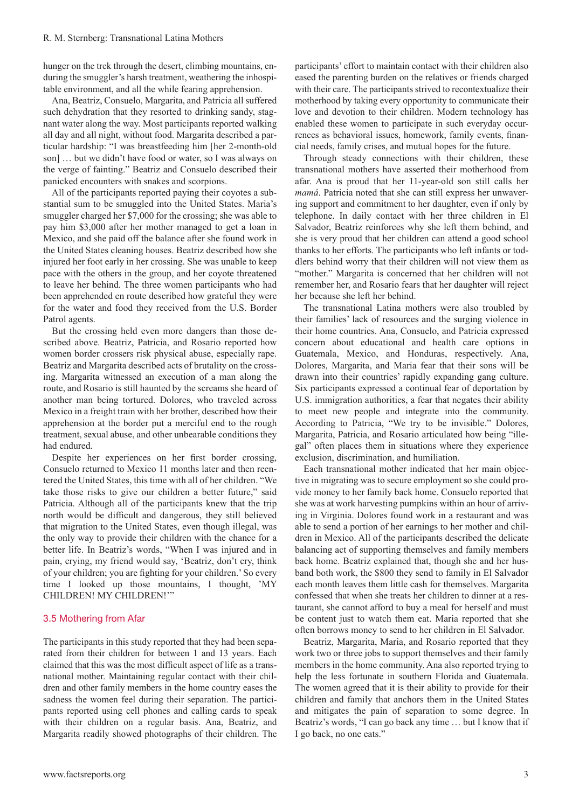hunger on the trek through the desert, climbing mountains, enduring the smuggler's harsh treatment, weathering the inhospitable environment, and all the while fearing apprehension.

Ana, Beatriz, Consuelo, Margarita, and Patricia all suffered such dehydration that they resorted to drinking sandy, stagnant water along the way. Most participants reported walking all day and all night, without food. Margarita described a particular hardship: "I was breastfeeding him [her 2-month-old son] … but we didn't have food or water, so I was always on the verge of fainting." Beatriz and Consuelo described their panicked encounters with snakes and scorpions.

All of the participants reported paying their coyotes a substantial sum to be smuggled into the United States. Maria's smuggler charged her \$7,000 for the crossing; she was able to pay him \$3,000 after her mother managed to get a loan in Mexico, and she paid off the balance after she found work in the United States cleaning houses. Beatriz described how she injured her foot early in her crossing. She was unable to keep pace with the others in the group, and her coyote threatened to leave her behind. The three women participants who had been apprehended en route described how grateful they were for the water and food they received from the U.S. Border Patrol agents.

But the crossing held even more dangers than those described above. Beatriz, Patricia, and Rosario reported how women border crossers risk physical abuse, especially rape. Beatriz and Margarita described acts of brutality on the crossing. Margarita witnessed an execution of a man along the route, and Rosario is still haunted by the screams she heard of another man being tortured. Dolores, who traveled across Mexico in a freight train with her brother, described how their apprehension at the border put a merciful end to the rough treatment, sexual abuse, and other unbearable conditions they had endured.

Despite her experiences on her first border crossing, Consuelo returned to Mexico 11 months later and then reentered the United States, this time with all of her children. "We take those risks to give our children a better future," said Patricia. Although all of the participants knew that the trip north would be difficult and dangerous, they still believed that migration to the United States, even though illegal, was the only way to provide their children with the chance for a better life. In Beatriz's words, "When I was injured and in pain, crying, my friend would say, 'Beatriz, don't cry, think of your children; you are fighting for your children.' So every time I looked up those mountains, I thought, 'MY CHILDREN! MY CHILDREN!'"

#### 3.5 Mothering from Afar

The participants in this study reported that they had been separated from their children for between 1 and 13 years. Each claimed that this was the most difficult aspect of life as a transnational mother. Maintaining regular contact with their children and other family members in the home country eases the sadness the women feel during their separation. The participants reported using cell phones and calling cards to speak with their children on a regular basis. Ana, Beatriz, and Margarita readily showed photographs of their children. The

participants' effort to maintain contact with their children also eased the parenting burden on the relatives or friends charged with their care. The participants strived to recontextualize their motherhood by taking every opportunity to communicate their love and devotion to their children. Modern technology has enabled these women to participate in such everyday occurrences as behavioral issues, homework, family events, financial needs, family crises, and mutual hopes for the future.

Through steady connections with their children, these transnational mothers have asserted their motherhood from afar. Ana is proud that her 11-year-old son still calls her *mamá*. Patricia noted that she can still express her unwavering support and commitment to her daughter, even if only by telephone. In daily contact with her three children in El Salvador, Beatriz reinforces why she left them behind, and she is very proud that her children can attend a good school thanks to her efforts. The participants who left infants or toddlers behind worry that their children will not view them as "mother." Margarita is concerned that her children will not remember her, and Rosario fears that her daughter will reject her because she left her behind.

The transnational Latina mothers were also troubled by their families' lack of resources and the surging violence in their home countries. Ana, Consuelo, and Patricia expressed concern about educational and health care options in Guatemala, Mexico, and Honduras, respectively. Ana, Dolores, Margarita, and Maria fear that their sons will be drawn into their countries' rapidly expanding gang culture. Six participants expressed a continual fear of deportation by U.S. immigration authorities, a fear that negates their ability to meet new people and integrate into the community. According to Patricia, "We try to be invisible." Dolores, Margarita, Patricia, and Rosario articulated how being "illegal" often places them in situations where they experience exclusion, discrimination, and humiliation.

Each transnational mother indicated that her main objective in migrating was to secure employment so she could provide money to her family back home. Consuelo reported that she was at work harvesting pumpkins within an hour of arriving in Virginia. Dolores found work in a restaurant and was able to send a portion of her earnings to her mother and children in Mexico. All of the participants described the delicate balancing act of supporting themselves and family members back home. Beatriz explained that, though she and her husband both work, the \$800 they send to family in El Salvador each month leaves them little cash for themselves. Margarita confessed that when she treats her children to dinner at a restaurant, she cannot afford to buy a meal for herself and must be content just to watch them eat. Maria reported that she often borrows money to send to her children in El Salvador.

Beatriz, Margarita, Maria, and Rosario reported that they work two or three jobs to support themselves and their family members in the home community. Ana also reported trying to help the less fortunate in southern Florida and Guatemala. The women agreed that it is their ability to provide for their children and family that anchors them in the United States and mitigates the pain of separation to some degree. In Beatriz's words, "I can go back any time … but I know that if I go back, no one eats."